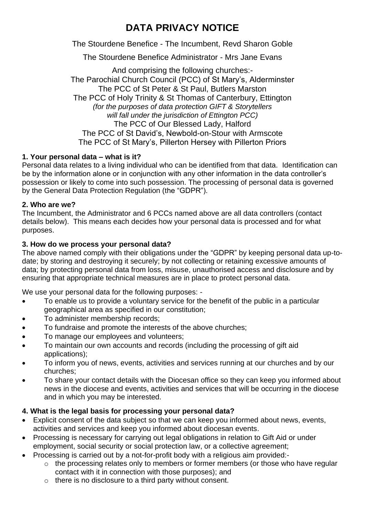# **DATA PRIVACY NOTICE**

The Stourdene Benefice - The Incumbent, Revd Sharon Goble

The Stourdene Benefice Administrator - Mrs Jane Evans

And comprising the following churches:- The Parochial Church Council (PCC) of St Mary's, Alderminster The PCC of St Peter & St Paul, Butlers Marston The PCC of Holy Trinity & St Thomas of Canterbury, Ettington *(for the purposes of data protection GIFT & Storytellers will fall under the jurisdiction of Ettington PCC)* The PCC of Our Blessed Lady, Halford The PCC of St David's, Newbold-on-Stour with Armscote The PCC of St Mary's, Pillerton Hersey with Pillerton Priors

# **1. Your personal data – what is it?**

Personal data relates to a living individual who can be identified from that data. Identification can be by the information alone or in conjunction with any other information in the data controller's possession or likely to come into such possession. The processing of personal data is governed by the General Data Protection Regulation (the "GDPR").

# **2. Who are we?**

The Incumbent, the Administrator and 6 PCCs named above are all data controllers (contact details below). This means each decides how your personal data is processed and for what purposes.

# **3. How do we process your personal data?**

The above named comply with their obligations under the "GDPR" by keeping personal data up-todate; by storing and destroying it securely; by not collecting or retaining excessive amounts of data; by protecting personal data from loss, misuse, unauthorised access and disclosure and by ensuring that appropriate technical measures are in place to protect personal data.

We use your personal data for the following purposes: -

- To enable us to provide a voluntary service for the benefit of the public in a particular geographical area as specified in our constitution;
- To administer membership records;
- To fundraise and promote the interests of the above churches;
- To manage our employees and volunteers;
- To maintain our own accounts and records (including the processing of gift aid applications);
- To inform you of news, events, activities and services running at our churches and by our churches;
- To share your contact details with the Diocesan office so they can keep you informed about news in the diocese and events, activities and services that will be occurring in the diocese and in which you may be interested.

# **4. What is the legal basis for processing your personal data?**

- Explicit consent of the data subject so that we can keep you informed about news, events, activities and services and keep you informed about diocesan events.
- Processing is necessary for carrying out legal obligations in relation to Gift Aid or under employment, social security or social protection law, or a collective agreement;
- Processing is carried out by a not-for-profit body with a religious aim provided:
	- o the processing relates only to members or former members (or those who have regular contact with it in connection with those purposes); and
	- o there is no disclosure to a third party without consent.